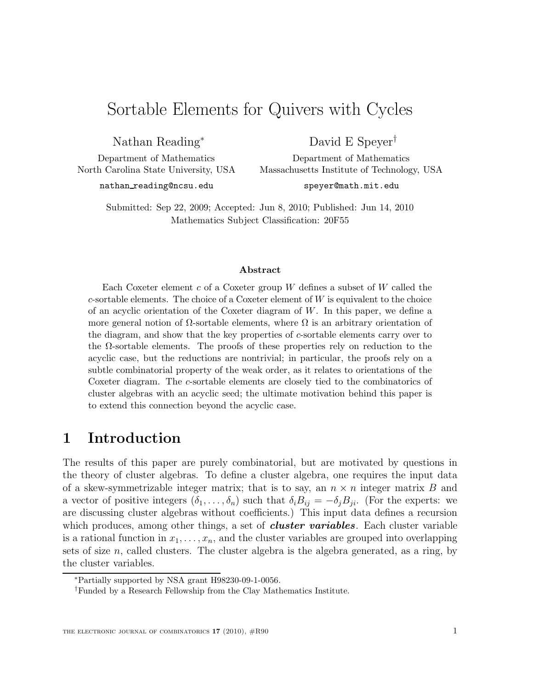## Sortable Elements for Quivers with Cycles

Nathan Reading<sup>∗</sup>

David E Speyer† Department of Mathematics

Department of Mathematics North Carolina State University, USA

nathan reading@ncsu.edu

Massachusetts Institute of Technology, USA speyer@math.mit.edu

Submitted: Sep 22, 2009; Accepted: Jun 8, 2010; Published: Jun 14, 2010 Mathematics Subject Classification: 20F55

#### Abstract

Each Coxeter element  $c$  of a Coxeter group W defines a subset of W called the  $c$ -sortable elements. The choice of a Coxeter element of  $W$  is equivalent to the choice of an acyclic orientation of the Coxeter diagram of  $W$ . In this paper, we define a more general notion of  $\Omega$ -sortable elements, where  $\Omega$  is an arbitrary orientation of the diagram, and show that the key properties of c-sortable elements carry over to the Ω-sortable elements. The proofs of these properties rely on reduction to the acyclic case, but the reductions are nontrivial; in particular, the proofs rely on a subtle combinatorial property of the weak order, as it relates to orientations of the Coxeter diagram. The c-sortable elements are closely tied to the combinatorics of cluster algebras with an acyclic seed; the ultimate motivation behind this paper is to extend this connection beyond the acyclic case.

## 1 Introduction

The results of this paper are purely combinatorial, but are motivated by questions in the theory of cluster algebras. To define a cluster algebra, one requires the input data of a skew-symmetrizable integer matrix; that is to say, an  $n \times n$  integer matrix B and a vector of positive integers  $(\delta_1, \ldots, \delta_n)$  such that  $\delta_i B_{ij} = -\delta_j B_{ji}$ . (For the experts: we are discussing cluster algebras without coefficients.) This input data defines a recursion which produces, among other things, a set of *cluster variables*. Each cluster variable is a rational function in  $x_1, \ldots, x_n$ , and the cluster variables are grouped into overlapping sets of size  $n$ , called clusters. The cluster algebra is the algebra generated, as a ring, by the cluster variables.

<sup>∗</sup>Partially supported by NSA grant H98230-09-1-0056.

<sup>†</sup>Funded by a Research Fellowship from the Clay Mathematics Institute.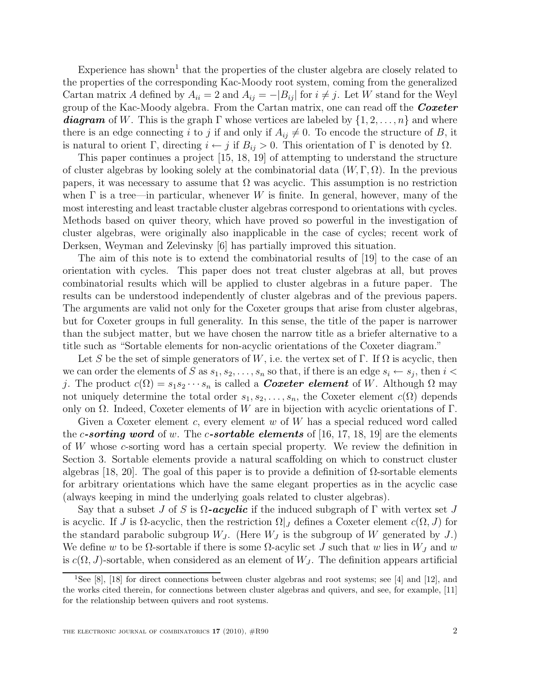Experience has shown<sup>1</sup> that the properties of the cluster algebra are closely related to the properties of the corresponding Kac-Moody root system, coming from the generalized Cartan matrix A defined by  $A_{ii} = 2$  and  $A_{ij} = -|B_{ij}|$  for  $i \neq j$ . Let W stand for the Weyl group of the Kac-Moody algebra. From the Cartan matrix, one can read off the  $\emph{Coxeter}$ diagram of W. This is the graph  $\Gamma$  whose vertices are labeled by  $\{1, 2, \ldots, n\}$  and where there is an edge connecting i to j if and only if  $A_{ij} \neq 0$ . To encode the structure of B, it is natural to orient Γ, directing  $i \leftarrow j$  if  $B_{ij} > 0$ . This orientation of Γ is denoted by Ω.

This paper continues a project [15, 18, 19] of attempting to understand the structure of cluster algebras by looking solely at the combinatorial data  $(W, \Gamma, \Omega)$ . In the previous papers, it was necessary to assume that  $\Omega$  was acyclic. This assumption is no restriction when  $\Gamma$  is a tree—in particular, whenever W is finite. In general, however, many of the most interesting and least tractable cluster algebras correspond to orientations with cycles. Methods based on quiver theory, which have proved so powerful in the investigation of cluster algebras, were originally also inapplicable in the case of cycles; recent work of Derksen, Weyman and Zelevinsky [6] has partially improved this situation.

The aim of this note is to extend the combinatorial results of [19] to the case of an orientation with cycles. This paper does not treat cluster algebras at all, but proves combinatorial results which will be applied to cluster algebras in a future paper. The results can be understood independently of cluster algebras and of the previous papers. The arguments are valid not only for the Coxeter groups that arise from cluster algebras, but for Coxeter groups in full generality. In this sense, the title of the paper is narrower than the subject matter, but we have chosen the narrow title as a briefer alternative to a title such as "Sortable elements for non-acyclic orientations of the Coxeter diagram."

Let S be the set of simple generators of W, i.e. the vertex set of Γ. If  $\Omega$  is acyclic, then we can order the elements of S as  $s_1, s_2, \ldots, s_n$  so that, if there is an edge  $s_i \leftarrow s_j$ , then  $i <$ j. The product  $c(\Omega) = s_1 s_2 \cdots s_n$  is called a **Coxeter element** of W. Although  $\Omega$  may not uniquely determine the total order  $s_1, s_2, \ldots, s_n$ , the Coxeter element  $c(\Omega)$  depends only on  $Ω$ . Indeed, Coxeter elements of W are in bijection with acyclic orientations of Γ.

Given a Coxeter element c, every element  $w$  of  $W$  has a special reduced word called the c-sorting word of w. The c-sortable elements of [16, 17, 18, 19] are the elements of W whose c-sorting word has a certain special property. We review the definition in Section 3. Sortable elements provide a natural scaffolding on which to construct cluster algebras [18, 20]. The goal of this paper is to provide a definition of  $\Omega$ -sortable elements for arbitrary orientations which have the same elegant properties as in the acyclic case (always keeping in mind the underlying goals related to cluster algebras).

Say that a subset J of S is  $\Omega$ -acyclic if the induced subgraph of  $\Gamma$  with vertex set J is acyclic. If J is  $\Omega$ -acyclic, then the restriction  $\Omega|_J$  defines a Coxeter element  $c(\Omega, J)$  for the standard parabolic subgroup  $W_J$ . (Here  $W_J$  is the subgroup of W generated by J.) We define w to be  $\Omega$ -sortable if there is some  $\Omega$ -acylic set J such that w lies in  $W_J$  and w is  $c(\Omega, J)$ -sortable, when considered as an element of  $W_J$ . The definition appears artificial

<sup>1</sup>See [8], [18] for direct connections between cluster algebras and root systems; see [4] and [12], and the works cited therein, for connections between cluster algebras and quivers, and see, for example, [11] for the relationship between quivers and root systems.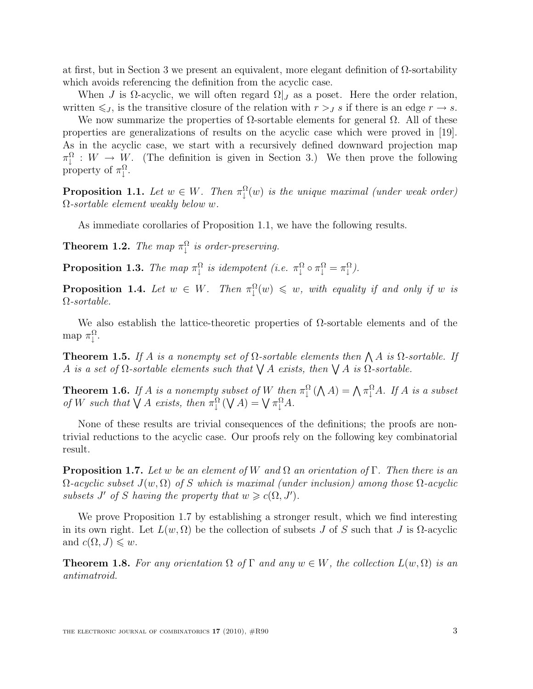at first, but in Section 3 we present an equivalent, more elegant definition of  $\Omega$ -sortability which avoids referencing the definition from the acyclic case.

When J is  $\Omega$ -acyclic, we will often regard  $\Omega|_J$  as a poset. Here the order relation, written  $\leq J$ , is the transitive closure of the relation with  $r >_J s$  if there is an edge  $r \to s$ .

We now summarize the properties of  $\Omega$ -sortable elements for general  $\Omega$ . All of these properties are generalizations of results on the acyclic case which were proved in [19]. As in the acyclic case, we start with a recursively defined downward projection map  $\pi_1^{\Omega} : W \to W$ . (The definition is given in Section 3.) We then prove the following property of  $\pi_1^{\Omega}$ .

**Proposition 1.1.** Let  $w \in W$ . Then  $\pi^{\Omega}_\downarrow(w)$  is the unique maximal (under weak order) Ω-sortable element weakly below w.

As immediate corollaries of Proposition 1.1, we have the following results.

**Theorem 1.2.** The map  $\pi$ <sup> $\Omega$ </sup> is order-preserving.

**Proposition 1.3.** The map  $\pi_\downarrow^{\Omega}$  is idempotent (i.e.  $\pi_\downarrow^{\Omega} \circ \pi_\downarrow^{\Omega} = \pi_\downarrow^{\Omega}$ ).

**Proposition 1.4.** Let  $w \in W$ . Then  $\pi_1^{\Omega}(w) \leq w$ , with equality if and only if w is  $\Omega$ -sortable.

We also establish the lattice-theoretic properties of  $\Omega$ -sortable elements and of the map  $\pi_\downarrow^\Omega$ .

**Theorem 1.5.** If A is a nonempty set of  $\Omega$ -sortable elements then  $\bigwedge A$  is  $\Omega$ -sortable. If A is a set of  $\Omega$ -sortable elements such that  $\bigvee A$  exists, then  $\bigvee A$  is  $\Omega$ -sortable.

**Theorem 1.6.** If A is a nonempty subset of W then  $\pi_\downarrow^{\Omega}(\bigwedge A) = \bigwedge \pi_\downarrow^{\Omega}A$ . If A is a subset of W such that  $\bigvee A$  exists, then  $\pi_{\downarrow}^{\Omega}(\bigvee A) = \bigvee \pi_{\downarrow}^{\Omega} A$ .

None of these results are trivial consequences of the definitions; the proofs are nontrivial reductions to the acyclic case. Our proofs rely on the following key combinatorial result.

**Proposition 1.7.** Let w be an element of W and  $\Omega$  an orientation of  $\Gamma$ . Then there is an  $\Omega$ -acyclic subset  $J(w, \Omega)$  of S which is maximal (under inclusion) among those  $\Omega$ -acyclic subsets J' of S having the property that  $w \geqslant c(\Omega, J')$ .

We prove Proposition 1.7 by establishing a stronger result, which we find interesting in its own right. Let  $L(w, \Omega)$  be the collection of subsets J of S such that J is  $\Omega$ -acyclic and  $c(\Omega, J) \leqslant w$ .

**Theorem 1.8.** For any orientation  $\Omega$  of  $\Gamma$  and any  $w \in W$ , the collection  $L(w, \Omega)$  is an antimatroid.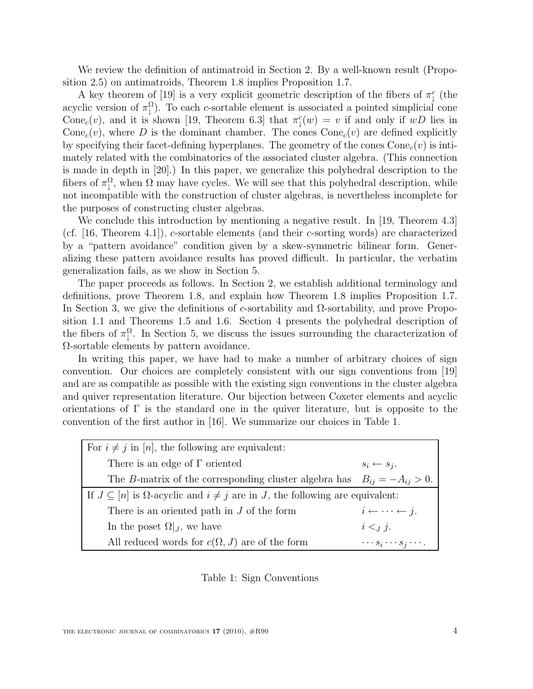We review the definition of antimatroid in Section 2. By a well-known result (Proposition 2.5) on antimatroids, Theorem 1.8 implies Proposition 1.7.

A key theorem of [19] is a very explicit geometric description of the fibers of  $\pi_{\downarrow}^{c}$  (the acyclic version of  $\pi_1^{\Omega}$ ). To each c-sortable element is associated a pointed simplicial cone Cone<sub>c</sub>(v), and it is shown [19, Theorem 6.3] that  $\pi_{\downarrow}^{c}(w) = v$  if and only if wD lies in Cone<sub>c</sub> $(v)$ , where D is the dominant chamber. The cones Cone<sub>c</sub> $(v)$  are defined explicitly by specifying their facet-defining hyperplanes. The geometry of the cones  $Cone<sub>c</sub>(v)$  is intimately related with the combinatorics of the associated cluster algebra. (This connection is made in depth in [20].) In this paper, we generalize this polyhedral description to the fibers of  $\pi_\downarrow^{\Omega}$ , when  $\Omega$  may have cycles. We will see that this polyhedral description, while not incompatible with the construction of cluster algebras, is nevertheless incomplete for the purposes of constructing cluster algebras.

We conclude this introduction by mentioning a negative result. In [19, Theorem 4.3] (cf. [16, Theorem 4.1]), c-sortable elements (and their c-sorting words) are characterized by a "pattern avoidance" condition given by a skew-symmetric bilinear form. Generalizing these pattern avoidance results has proved difficult. In particular, the verbatim generalization fails, as we show in Section 5.

The paper proceeds as follows. In Section 2, we establish additional terminology and definitions, prove Theorem 1.8, and explain how Theorem 1.8 implies Proposition 1.7. In Section 3, we give the definitions of c-sortability and  $\Omega$ -sortability, and prove Proposition 1.1 and Theorems 1.5 and 1.6. Section 4 presents the polyhedral description of the fibers of  $\pi_\downarrow^{\Omega}$ . In Section 5, we discuss the issues surrounding the characterization of Ω-sortable elements by pattern avoidance.

In writing this paper, we have had to make a number of arbitrary choices of sign convention. Our choices are completely consistent with our sign conventions from [19] and are as compatible as possible with the existing sign conventions in the cluster algebra and quiver representation literature. Our bijection between Coxeter elements and acyclic orientations of  $\Gamma$  is the standard one in the quiver literature, but is opposite to the convention of the first author in [16]. We summarize our choices in Table 1.

| For $i \neq j$ in [n], the following are equivalent:                                             |                                     |
|--------------------------------------------------------------------------------------------------|-------------------------------------|
| There is an edge of $\Gamma$ oriented                                                            | $s_i \leftarrow s_j$ .              |
| The B-matrix of the corresponding cluster algebra has $B_{ij} = -A_{ij} > 0$ .                   |                                     |
| If $J \subseteq [n]$ is $\Omega$ -acyclic and $i \neq j$ are in J, the following are equivalent: |                                     |
| There is an oriented path in $J$ of the form                                                     | $i \leftarrow \cdots \leftarrow j.$ |
| In the poset $\Omega _J$ , we have                                                               | $i <_{J} j.$                        |
| All reduced words for $c(\Omega, J)$ are of the form                                             | $\cdots s_i \cdots s_j \cdots$ .    |

Table 1: Sign Conventions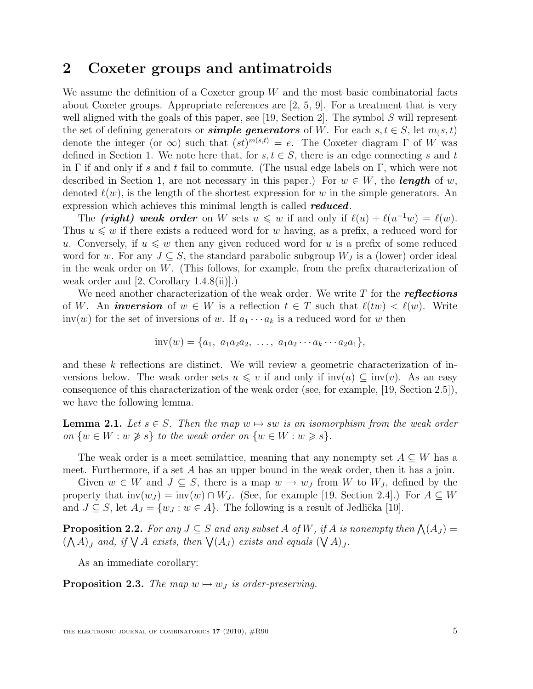### 2 Coxeter groups and antimatroids

We assume the definition of a Coxeter group  $W$  and the most basic combinatorial facts about Coxeter groups. Appropriate references are [2, 5, 9]. For a treatment that is very well aligned with the goals of this paper, see  $[19, \text{Section 2}]$ . The symbol  $S$  will represent the set of defining generators or *simple generators* of W. For each  $s, t \in S$ , let  $m(s, t)$ denote the integer (or  $\infty$ ) such that  $(st)^{m(s,t)} = e$ . The Coxeter diagram  $\Gamma$  of W was defined in Section 1. We note here that, for  $s, t \in S$ , there is an edge connecting s and t in  $\Gamma$  if and only if s and t fail to commute. (The usual edge labels on  $\Gamma$ , which were not described in Section 1, are not necessary in this paper.) For  $w \in W$ , the **length** of w, denoted  $\ell(w)$ , is the length of the shortest expression for w in the simple generators. An expression which achieves this minimal length is called **reduced**.

The *(right)* weak order on W sets  $u \leq w$  if and only if  $\ell(u) + \ell(u^{-1}w) = \ell(w)$ . Thus  $u \leq w$  if there exists a reduced word for w having, as a prefix, a reduced word for u. Conversely, if  $u \leqslant w$  then any given reduced word for u is a prefix of some reduced word for w. For any  $J \subseteq S$ , the standard parabolic subgroup  $W_J$  is a (lower) order ideal in the weak order on  $W$ . (This follows, for example, from the prefix characterization of weak order and  $[2, Corollary 1.4.8(ii)].$ 

We need another characterization of the weak order. We write  $T$  for the **reflections** of W. An *inversion* of  $w \in W$  is a reflection  $t \in T$  such that  $\ell(tw) < \ell(w)$ . Write  $inv(w)$  for the set of inversions of w. If  $a_1 \cdots a_k$  is a reduced word for w then

$$
inv(w) = \{a_1, a_1a_2a_2, \ldots, a_1a_2\cdots a_k\cdots a_2a_1\},\,
$$

and these k reflections are distinct. We will review a geometric characterization of inversions below. The weak order sets  $u \leq v$  if and only if  $inv(u) \subseteq inv(v)$ . As an easy consequence of this characterization of the weak order (see, for example, [19, Section 2.5]), we have the following lemma.

**Lemma 2.1.** Let  $s \in S$ . Then the map  $w \mapsto sw$  is an isomorphism from the weak order on  $\{w \in W : w \not\geq s\}$  to the weak order on  $\{w \in W : w \geq s\}.$ 

The weak order is a meet semilattice, meaning that any nonempty set  $A \subseteq W$  has a meet. Furthermore, if a set  $A$  has an upper bound in the weak order, then it has a join.

Given  $w \in W$  and  $J \subseteq S$ , there is a map  $w \mapsto w_J$  from W to  $W_J$ , defined by the property that  $inv(w_J) = inv(w) \cap W_J$ . (See, for example [19, Section 2.4].) For  $A \subseteq W$ and  $J \subseteq S$ , let  $A_J = \{w_J : w \in A\}$ . The following is a result of Jedlička [10].

**Proposition 2.2.** For any  $J \subseteq S$  and any subset A of W, if A is nonempty then  $\bigwedge (A_J)$  =  $(\bigwedge A)_J$  and, if  $\bigvee A$  exists, then  $\bigvee (A_J)$  exists and equals  $(\bigvee A)_J$ .

As an immediate corollary:

**Proposition 2.3.** The map  $w \mapsto w_J$  is order-preserving.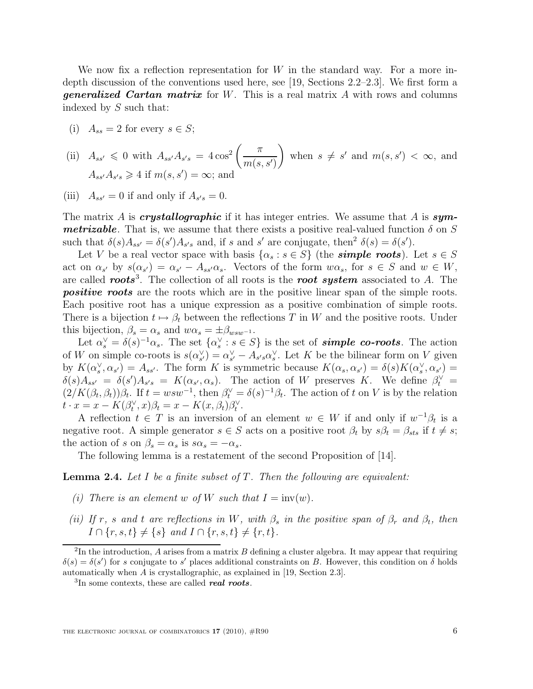We now fix a reflection representation for  $W$  in the standard way. For a more indepth discussion of the conventions used here, see [19, Sections 2.2–2.3]. We first form a **generalized Cartan matrix** for W. This is a real matrix  $A$  with rows and columns indexed by S such that:

(i)  $A_{ss} = 2$  for every  $s \in S$ ;

(ii) 
$$
A_{ss'} \leq 0
$$
 with  $A_{ss'}A_{s's} = 4 \cos^2 \left(\frac{\pi}{m(s,s')}\right)$  when  $s \neq s'$  and  $m(s,s') < \infty$ , and  $A_{ss'}A_{s's} \geq 4$  if  $m(s,s') = \infty$ ; and

(iii)  $A_{ss'} = 0$  if and only if  $A_{s's} = 0$ .

The matrix A is *crystallographic* if it has integer entries. We assume that A is  $sym$ **metrizable**. That is, we assume that there exists a positive real-valued function  $\delta$  on S such that  $\delta(s)A_{ss'} = \delta(s')A_{s's}$  and, if s and s' are conjugate, then<sup>2</sup>  $\delta(s) = \delta(s')$ .

Let V be a real vector space with basis  $\{\alpha_s : s \in S\}$  (the **simple roots**). Let  $s \in S$ act on  $\alpha_{s'}$  by  $s(\alpha_{s'}) = \alpha_{s'} - A_{ss'}\alpha_s$ . Vectors of the form  $w\alpha_s$ , for  $s \in S$  and  $w \in W$ , are called **roots**<sup>3</sup>. The collection of all roots is the **root system** associated to A. The **positive roots** are the roots which are in the positive linear span of the simple roots. Each positive root has a unique expression as a positive combination of simple roots. There is a bijection  $t \mapsto \beta_t$  between the reflections T in W and the positive roots. Under this bijection,  $\beta_s = \alpha_s$  and  $w\alpha_s = \pm \beta_{wsw^{-1}}$ .

Let  $\alpha_s^{\vee} = \delta(s)^{-1}\alpha_s$ . The set  $\{\alpha_s^{\vee} : s \in S\}$  is the set of **simple co-roots**. The action of W on simple co-roots is  $s(\alpha_{s'}^{\vee}) = \alpha_{s'}^{\vee} - A_{s's} \alpha_{s}^{\vee}$ . Let K be the bilinear form on V given by  $K(\alpha_s^{\vee}, \alpha_{s'}) = A_{ss'}$ . The form K is symmetric because  $K(\alpha_s, \alpha_{s'}) = \delta(s)K(\alpha_s^{\vee}, \alpha_{s'}) =$  $\delta(s)A_{ss'} = \delta(s')A_{s's} = K(\alpha_{s'}, \alpha_s)$ . The action of W preserves K. We define  $\beta_t^{\vee}$  =  $(2/K(\beta_t, \beta_t))\beta_t$ . If  $t = wsw^{-1}$ , then  $\beta_t^{\vee} = \delta(s)^{-1}\beta_t$ . The action of t on V is by the relation  $t \cdot x = x - K(\beta_t^{\vee}, x)\beta_t = x - K(x, \beta_t)\beta_t^{\vee}.$ 

A reflection  $t \in T$  is an inversion of an element  $w \in W$  if and only if  $w^{-1}\beta_t$  is a negative root. A simple generator  $s \in S$  acts on a positive root  $\beta_t$  by  $s\beta_t = \beta_{sts}$  if  $t \neq s$ ; the action of s on  $\beta_s = \alpha_s$  is  $s\alpha_s = -\alpha_s$ .

The following lemma is a restatement of the second Proposition of [14].

**Lemma 2.4.** Let I be a finite subset of T. Then the following are equivalent:

- (i) There is an element w of W such that  $I = inv(w)$ .
- (ii) If r, s and t are reflections in W, with  $\beta_s$  in the positive span of  $\beta_r$  and  $\beta_t$ , then  $I \cap \{r, s, t\} \neq \{s\}$  and  $I \cap \{r, s, t\} \neq \{r, t\}.$

<sup>&</sup>lt;sup>2</sup>In the introduction, A arises from a matrix B defining a cluster algebra. It may appear that requiring  $\delta(s) = \delta(s')$  for s conjugate to s' places additional constraints on B. However, this condition on  $\delta$  holds automatically when A is crystallographic, as explained in [19, Section 2.3].

<sup>&</sup>lt;sup>3</sup>In some contexts, these are called *real roots*.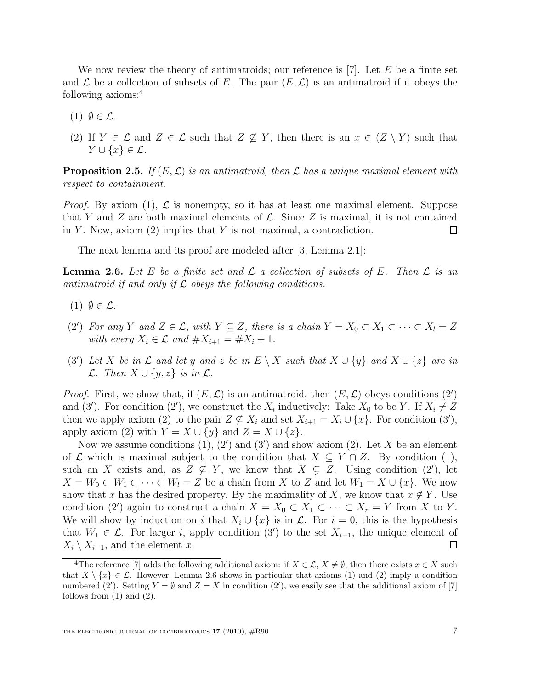We now review the theory of antimatroids; our reference is  $[7]$ . Let E be a finite set and  $\mathcal L$  be a collection of subsets of E. The pair  $(E,\mathcal L)$  is an antimatroid if it obeys the following axioms:<sup>4</sup>

- (1)  $\emptyset \in \mathcal{L}$ .
- (2) If  $Y \in \mathcal{L}$  and  $Z \in \mathcal{L}$  such that  $Z \nsubseteq Y$ , then there is an  $x \in (Z \setminus Y)$  such that  $Y \cup \{x\} \in \mathcal{L}.$

**Proposition 2.5.** If  $(E, \mathcal{L})$  is an antimatroid, then  $\mathcal{L}$  has a unique maximal element with respect to containment.

*Proof.* By axiom (1),  $\mathcal{L}$  is nonempty, so it has at least one maximal element. Suppose that Y and Z are both maximal elements of  $\mathcal L$ . Since Z is maximal, it is not contained in  $Y$ . Now, axiom  $(2)$  implies that  $Y$  is not maximal, a contradiction. □

The next lemma and its proof are modeled after [3, Lemma 2.1]:

**Lemma 2.6.** Let E be a finite set and  $\mathcal{L}$  a collection of subsets of E. Then  $\mathcal{L}$  is an antimatroid if and only if  $\mathcal L$  obeys the following conditions.

- $(1)$   $\emptyset \in \mathcal{L}$ .
- (2') For any Y and  $Z \in \mathcal{L}$ , with  $Y \subseteq Z$ , there is a chain  $Y = X_0 \subset X_1 \subset \cdots \subset X_l = Z$ with every  $X_i \in \mathcal{L}$  and  $\#X_{i+1} = \#X_i + 1$ .
- (3<sup>'</sup>) Let X be in L and let y and z be in  $E \setminus X$  such that  $X \cup \{y\}$  and  $X \cup \{z\}$  are in  $\mathcal{L}.$  Then  $X \cup \{y, z\}$  is in  $\mathcal{L}.$

*Proof.* First, we show that, if  $(E, \mathcal{L})$  is an antimatroid, then  $(E, \mathcal{L})$  obeys conditions  $(2')$ and (3'). For condition (2'), we construct the  $X_i$  inductively: Take  $X_0$  to be Y. If  $X_i \neq Z$ then we apply axiom (2) to the pair  $Z \not\subseteq X_i$  and set  $X_{i+1} = X_i \cup \{x\}$ . For condition (3'), apply axiom (2) with  $Y = X \cup \{y\}$  and  $Z = X \cup \{z\}.$ 

Now we assume conditions  $(1)$ ,  $(2')$  and  $(3')$  and show axiom  $(2)$ . Let X be an element of  $\mathcal L$  which is maximal subject to the condition that  $X \subseteq Y \cap Z$ . By condition (1), such an X exists and, as  $Z \nsubseteq Y$ , we know that  $X \subseteq Z$ . Using condition (2'), let  $X = W_0 \subset W_1 \subset \cdots \subset W_l = Z$  be a chain from X to Z and let  $W_1 = X \cup \{x\}$ . We now show that x has the desired property. By the maximality of X, we know that  $x \notin Y$ . Use condition (2') again to construct a chain  $X = X_0 \subset X_1 \subset \cdots \subset X_r = Y$  from X to Y. We will show by induction on i that  $X_i \cup \{x\}$  is in  $\mathcal{L}$ . For  $i = 0$ , this is the hypothesis that  $W_1 \in \mathcal{L}$ . For larger i, apply condition (3') to the set  $X_{i-1}$ , the unique element of  $X_i \setminus X_{i-1}$ , and the element x.  $\Box$ 

<sup>&</sup>lt;sup>4</sup>The reference [7] adds the following additional axiom: if  $X \in \mathcal{L}$ ,  $X \neq \emptyset$ , then there exists  $x \in X$  such that  $X \setminus \{x\} \in \mathcal{L}$ . However, Lemma 2.6 shows in particular that axioms (1) and (2) imply a condition numbered  $(2')$ . Setting  $Y = \emptyset$  and  $Z = X$  in condition  $(2')$ , we easily see that the additional axiom of [7] follows from  $(1)$  and  $(2)$ .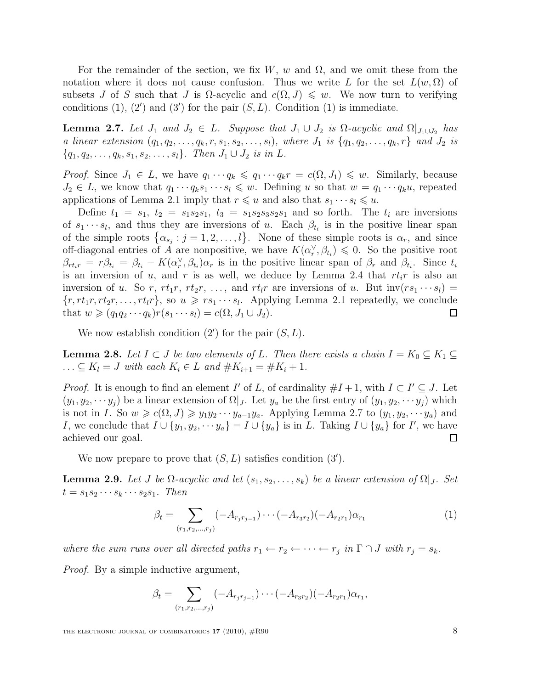For the remainder of the section, we fix W, w and  $\Omega$ , and we omit these from the notation where it does not cause confusion. Thus we write L for the set  $L(w, \Omega)$  of subsets J of S such that J is  $\Omega$ -acyclic and  $c(\Omega, J) \leq w$ . We now turn to verifying conditions  $(1)$ ,  $(2')$  and  $(3')$  for the pair  $(S, L)$ . Condition  $(1)$  is immediate.

**Lemma 2.7.** Let  $J_1$  and  $J_2 \in L$ . Suppose that  $J_1 \cup J_2$  is  $\Omega$ -acyclic and  $\Omega|_{J_1 \cup J_2}$  has a linear extension  $(q_1, q_2, ..., q_k, r, s_1, s_2, ..., s_l)$ , where  $J_1$  is  $\{q_1, q_2, ..., q_k, r\}$  and  $J_2$  is  ${q_1, q_2, \ldots, q_k, s_1, s_2, \ldots, s_l}$ . Then  $J_1 \cup J_2$  is in L.

*Proof.* Since  $J_1 \in L$ , we have  $q_1 \cdots q_k \leq q_1 \cdots q_k r = c(\Omega, J_1) \leq w$ . Similarly, because  $J_2 \in L$ , we know that  $q_1 \cdots q_k s_1 \cdots s_l \leq w$ . Defining u so that  $w = q_1 \cdots q_k u$ , repeated applications of Lemma 2.1 imply that  $r \leq u$  and also that  $s_1 \cdots s_l \leq u$ .

Define  $t_1 = s_1$ ,  $t_2 = s_1s_2s_1$ ,  $t_3 = s_1s_2s_3s_2s_1$  and so forth. The  $t_i$  are inversions of  $s_1 \cdots s_l$ , and thus they are inversions of u. Each  $\beta_{t_i}$  is in the positive linear span of the simple roots  $\{\alpha_{s_j} : j = 1, 2, ..., l\}$ . None of these simple roots is  $\alpha_r$ , and since off-diagonal entries of A are nonpositive, we have  $K(\alpha_r^{\vee}, \beta_{t_i}) \leq 0$ . So the positive root  $\beta_{rt_ir} = r\beta_{t_i} - K(\alpha_r^{\vee}, \beta_{t_i})\alpha_r$  is in the positive linear span of  $\beta_r$  and  $\beta_{t_i}$ . Since  $t_i$ is an inversion of u, and r is as well, we deduce by Lemma 2.4 that  $rt_i r$  is also an inversion of u. So r,  $rt_1r$ ,  $rt_2r$ , ..., and  $rt_lr$  are inversions of u. But  $inv(rs_1 \cdots s_l)$  $\{r, rt_1r, rt_2r, \ldots, rt_lr\}$ , so  $u \geqslant rs_1 \cdots s_l$ . Applying Lemma 2.1 repeatedly, we conclude that  $w \geqslant (q_1q_2 \cdots q_k)r(s_1 \cdots s_l) = c(\Omega, J_1 \cup J_2).$  $\Box$ 

We now establish condition  $(2')$  for the pair  $(S, L)$ .

**Lemma 2.8.** Let  $I \subset J$  be two elements of L. Then there exists a chain  $I = K_0 \subseteq K_1 \subseteq$  $\ldots \subseteq K_l = J$  with each  $K_i \in L$  and  $\#K_{i+1} = \#K_i + 1$ .

*Proof.* It is enough to find an element I' of L, of cardinality  $\#I + 1$ , with  $I \subset I' \subseteq J$ . Let  $(y_1, y_2, \dots y_j)$  be a linear extension of  $\Omega|_J$ . Let  $y_a$  be the first entry of  $(y_1, y_2, \dots y_j)$  which is not in I. So  $w \geq c(\Omega, J) \geq y_1 y_2 \cdots y_{a-1} y_a$ . Applying Lemma 2.7 to  $(y_1, y_2, \cdots y_a)$  and I, we conclude that  $I \cup \{y_1, y_2, \dots, y_a\} = I \cup \{y_a\}$  is in L. Taking  $I \cup \{y_a\}$  for I', we have achieved our goal.  $\Box$ 

We now prepare to prove that  $(S, L)$  satisfies condition  $(3')$ .

**Lemma 2.9.** Let J be  $\Omega$ -acyclic and let  $(s_1, s_2, \ldots, s_k)$  be a linear extension of  $\Omega|_J$ . Set  $t = s_1 s_2 \cdots s_k \cdots s_2 s_1$ . Then

$$
\beta_t = \sum_{(r_1, r_2, \dots, r_j)} (-A_{r_j r_{j-1}}) \cdots (-A_{r_3 r_2}) (-A_{r_2 r_1}) \alpha_{r_1} \tag{1}
$$

where the sum runs over all directed paths  $r_1 \leftarrow r_2 \leftarrow \cdots \leftarrow r_j$  in  $\Gamma \cap J$  with  $r_j = s_k$ .

Proof. By a simple inductive argument,

$$
\beta_t = \sum_{(r_1,r_2,\ldots,r_j)} (-A_{r_jr_{j-1}})\cdots (-A_{r_3r_2})(-A_{r_2r_1})\alpha_{r_1},
$$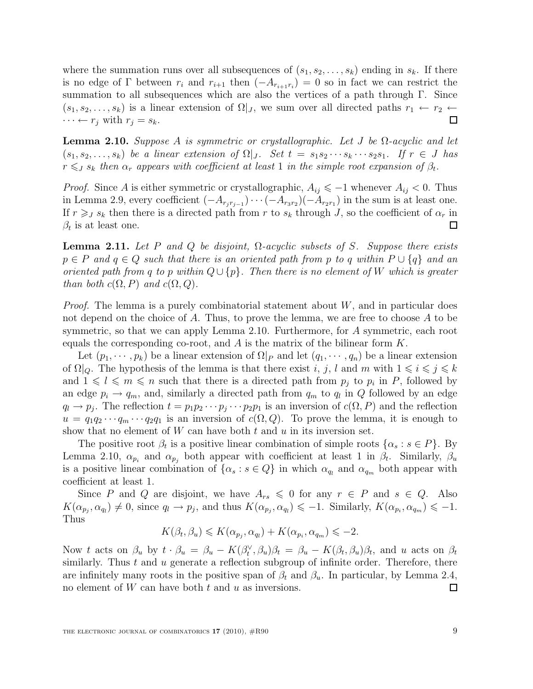where the summation runs over all subsequences of  $(s_1, s_2, \ldots, s_k)$  ending in  $s_k$ . If there is no edge of  $\Gamma$  between  $r_i$  and  $r_{i+1}$  then  $(-A_{r_{i+1}r_i})=0$  so in fact we can restrict the summation to all subsequences which are also the vertices of a path through Γ. Since  $(s_1, s_2, \ldots, s_k)$  is a linear extension of  $\Omega|_J$ , we sum over all directed paths  $r_1 \leftarrow r_2 \leftarrow$  $\cdots \leftarrow r_i$  with  $r_i = s_k$ .  $\Box$ 

**Lemma 2.10.** Suppose A is symmetric or crystallographic. Let J be  $\Omega$ -acyclic and let  $(s_1, s_2, \ldots, s_k)$  be a linear extension of  $\Omega|_J$ . Set  $t = s_1 s_2 \cdots s_k \cdots s_2 s_1$ . If  $r \in J$  has  $r \leqslant_S s_k$  then  $\alpha_r$  appears with coefficient at least 1 in the simple root expansion of  $\beta_t$ .

*Proof.* Since A is either symmetric or crystallographic,  $A_{ij} \leq -1$  whenever  $A_{ij} < 0$ . Thus in Lemma 2.9, every coefficient  $(-A_{r_jr_{j-1}})\cdots(-A_{r_3r_2})(-A_{r_2r_1})$  in the sum is at least one. If  $r \geq J$  s<sub>k</sub> then there is a directed path from r to s<sub>k</sub> through J, so the coefficient of  $\alpha_r$  in  $\beta_t$  is at least one.  $\Box$ 

**Lemma 2.11.** Let P and Q be disjoint,  $\Omega$ -acyclic subsets of S. Suppose there exists  $p \in P$  and  $q \in Q$  such that there is an oriented path from p to q within  $P \cup \{q\}$  and an oriented path from q to p within  $Q \cup \{p\}$ . Then there is no element of W which is greater than both  $c(\Omega, P)$  and  $c(\Omega, Q)$ .

*Proof.* The lemma is a purely combinatorial statement about  $W$ , and in particular does not depend on the choice of A. Thus, to prove the lemma, we are free to choose A to be symmetric, so that we can apply Lemma 2.10. Furthermore, for A symmetric, each root equals the corresponding co-root, and  $A$  is the matrix of the bilinear form  $K$ .

Let  $(p_1, \dots, p_k)$  be a linear extension of  $\Omega|_P$  and let  $(q_1, \dots, q_n)$  be a linear extension of  $\Omega|_Q$ . The hypothesis of the lemma is that there exist i, j, l and m with  $1 \leq i \leq j \leq k$ and  $1 \leq l \leq m \leq n$  such that there is a directed path from  $p_j$  to  $p_i$  in P, followed by an edge  $p_i \to q_m$ , and, similarly a directed path from  $q_m$  to  $q_l$  in Q followed by an edge  $q_l \to p_j$ . The reflection  $t = p_1 p_2 \cdots p_j \cdots p_2 p_1$  is an inversion of  $c(\Omega, P)$  and the reflection  $u = q_1 q_2 \cdots q_m \cdots q_2 q_1$  is an inversion of  $c(\Omega, Q)$ . To prove the lemma, it is enough to show that no element of W can have both  $t$  and  $u$  in its inversion set.

The positive root  $\beta_t$  is a positive linear combination of simple roots  $\{\alpha_s : s \in P\}$ . By Lemma 2.10,  $\alpha_{p_i}$  and  $\alpha_{p_j}$  both appear with coefficient at least 1 in  $\beta_t$ . Similarly,  $\beta_u$ is a positive linear combination of  $\{\alpha_s : s \in Q\}$  in which  $\alpha_{q_l}$  and  $\alpha_{q_m}$  both appear with coefficient at least 1.

Since P and Q are disjoint, we have  $A_{rs} \leq 0$  for any  $r \in P$  and  $s \in Q$ . Also  $K(\alpha_{p_j}, \alpha_{q_l}) \neq 0$ , since  $q_l \to p_j$ , and thus  $K(\alpha_{p_j}, \alpha_{q_l}) \leq -1$ . Similarly,  $K(\alpha_{p_i}, \alpha_{q_m}) \leq -1$ . Thus

$$
K(\beta_t, \beta_u) \leqslant K(\alpha_{p_j}, \alpha_{q_l}) + K(\alpha_{p_i}, \alpha_{q_m}) \leqslant -2.
$$

Now t acts on  $\beta_u$  by  $t \cdot \beta_u = \beta_u - K(\beta_t^{\vee}, \beta_u)\beta_t = \beta_u - K(\beta_t, \beta_u)\beta_t$ , and u acts on  $\beta_t$ similarly. Thus  $t$  and  $u$  generate a reflection subgroup of infinite order. Therefore, there are infinitely many roots in the positive span of  $\beta_t$  and  $\beta_u$ . In particular, by Lemma 2.4, no element of  $W$  can have both  $t$  and  $u$  as inversions. □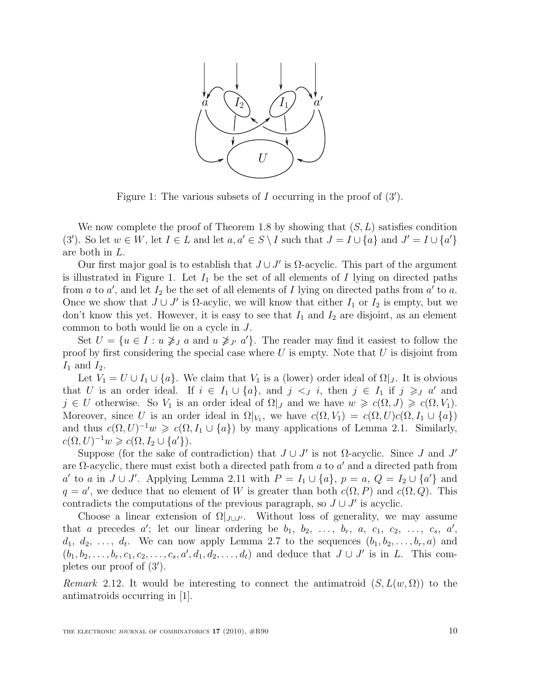

Figure 1: The various subsets of  $I$  occurring in the proof of  $(3')$ .

We now complete the proof of Theorem 1.8 by showing that  $(S, L)$  satisfies condition (3'). So let  $w \in W$ , let  $I \in L$  and let  $a, a' \in S \setminus I$  such that  $J = I \cup \{a\}$  and  $J' = I \cup \{a'\}$ are both in L.

Our first major goal is to establish that  $J \cup J'$  is  $\Omega$ -acyclic. This part of the argument is illustrated in Figure 1. Let  $I_1$  be the set of all elements of I lying on directed paths from a to a', and let  $I_2$  be the set of all elements of I lying on directed paths from a' to a. Once we show that  $J \cup J'$  is  $\Omega$ -acylic, we will know that either  $I_1$  or  $I_2$  is empty, but we don't know this yet. However, it is easy to see that  $I_1$  and  $I_2$  are disjoint, as an element common to both would lie on a cycle in J.

Set  $U = \{u \in I : u \not\geq_{J} a \text{ and } u \not\geq_{J'} a'\}.$  The reader may find it easiest to follow the proof by first considering the special case where  $U$  is empty. Note that  $U$  is disjoint from  $I_1$  and  $I_2$ .

Let  $V_1 = U \cup I_1 \cup \{a\}$ . We claim that  $V_1$  is a (lower) order ideal of  $\Omega|_J$ . It is obvious that U is an order ideal. If  $i \in I_1 \cup \{a\}$ , and  $j \leq J$ , i, then  $j \in I_1$  if  $j \geq J$  a' and  $j \in U$  otherwise. So  $V_1$  is an order ideal of  $\Omega|_J$  and we have  $w \geq c(\Omega, J) \geq c(\Omega, V_1)$ . Moreover, since U is an order ideal in  $\Omega|_{V_1}$ , we have  $c(\Omega, V_1) = c(\Omega, U)c(\Omega, I_1 \cup \{a\})$ and thus  $c(\Omega, U)^{-1}w \geqslant c(\Omega, I_1 \cup \{a\})$  by many applications of Lemma 2.1. Similarly,  $c(\Omega, U)^{-1}w \geqslant c(\Omega, I_2 \cup \{a'\}).$ 

Suppose (for the sake of contradiction) that  $J \cup J'$  is not  $\Omega$ -acyclic. Since J and J' are  $\Omega$ -acyclic, there must exist both a directed path from a to a' and a directed path from a' to a in  $J \cup J'$ . Applying Lemma 2.11 with  $P = I_1 \cup \{a\}$ ,  $p = a$ ,  $Q = I_2 \cup \{a'\}$  and  $q = a'$ , we deduce that no element of W is greater than both  $c(\Omega, P)$  and  $c(\Omega, Q)$ . This contradicts the computations of the previous paragraph, so  $J \cup J'$  is acyclic.

Choose a linear extension of  $\Omega|_{J\cup J'}$ . Without loss of generality, we may assume that a precedes  $a'$ ; let our linear ordering be  $b_1, b_2, \ldots, b_r, a, c_1, c_2, \ldots, c_s, a'$ ,  $d_1, d_2, \ldots, d_t$ . We can now apply Lemma 2.7 to the sequences  $(b_1, b_2, \ldots, b_r, a)$  and  $(b_1, b_2, \ldots, b_r, c_1, c_2, \ldots, c_s, a', d_1, d_2, \ldots, d_t)$  and deduce that  $J \cup J'$  is in L. This completes our proof of (3′ ).

Remark 2.12. It would be interesting to connect the antimatroid  $(S, L(w, \Omega))$  to the antimatroids occurring in [1].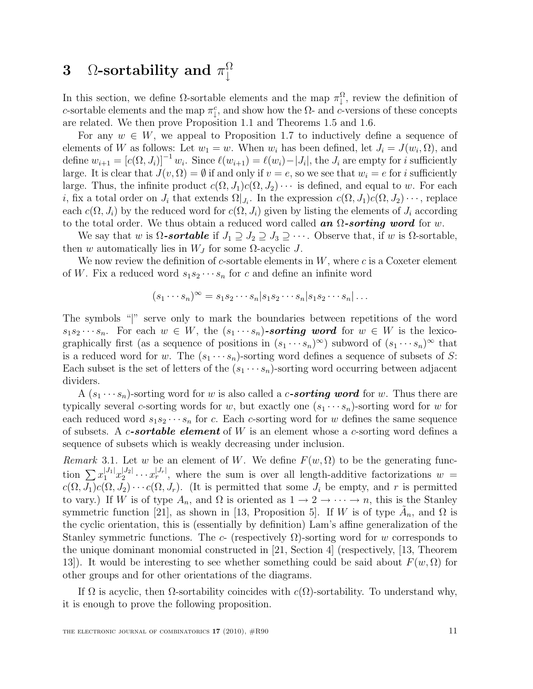#### 3 Ω-sortability and  $\pi$ <sup>0</sup> ↓

In this section, we define  $\Omega$ -sortable elements and the map  $\pi_{\downarrow}^{\Omega}$ , review the definition of c-sortable elements and the map  $\pi_{\downarrow}^c$ , and show how the  $\Omega$ - and c-versions of these concepts are related. We then prove Proposition 1.1 and Theorems 1.5 and 1.6.

For any  $w \in W$ , we appeal to Proposition 1.7 to inductively define a sequence of elements of W as follows: Let  $w_1 = w$ . When  $w_i$  has been defined, let  $J_i = J(w_i, \Omega)$ , and define  $w_{i+1} = [c(\Omega, J_i)]^{-1} w_i$ . Since  $\ell(w_{i+1}) = \ell(w_i) - |J_i|$ , the  $J_i$  are empty for i sufficiently large. It is clear that  $J(v, \Omega) = \emptyset$  if and only if  $v = e$ , so we see that  $w_i = e$  for i sufficiently large. Thus, the infinite product  $c(\Omega, J_1)c(\Omega, J_2)\cdots$  is defined, and equal to w. For each *i*, fix a total order on  $J_i$  that extends  $\Omega|_{J_i}$ . In the expression  $c(\Omega, J_1)c(\Omega, J_2) \cdots$ , replace each  $c(\Omega, J_i)$  by the reduced word for  $c(\Omega, J_i)$  given by listing the elements of  $J_i$  according to the total order. We thus obtain a reduced word called an  $\Omega$ -sorting word for w.

We say that w is  $\Omega$ -sortable if  $J_1 \supseteq J_2 \supseteq J_3 \supseteq \cdots$ . Observe that, if w is  $\Omega$ -sortable, then w automatically lies in  $W_J$  for some  $\Omega$ -acyclic J.

We now review the definition of c-sortable elements in  $W$ , where c is a Coxeter element of W. Fix a reduced word  $s_1s_2\cdots s_n$  for c and define an infinite word

$$
(s_1\cdots s_n)^{\infty} = s_1s_2\cdots s_n|s_1s_2\cdots s_n|s_1s_2\cdots s_n|\ldots
$$

The symbols "|" serve only to mark the boundaries between repetitions of the word  $s_1s_2\cdots s_n$ . For each  $w \in W$ , the  $(s_1\cdots s_n)$ -sorting word for  $w \in W$  is the lexicographically first (as a sequence of positions in  $(s_1 \cdots s_n)^\infty$ ) subword of  $(s_1 \cdots s_n)^\infty$  that is a reduced word for w. The  $(s_1 \cdots s_n)$ -sorting word defines a sequence of subsets of S: Each subset is the set of letters of the  $(s_1 \cdots s_n)$ -sorting word occurring between adjacent dividers.

A  $(s_1 \cdots s_n)$ -sorting word for w is also called a c-sorting word for w. Thus there are typically several c-sorting words for w, but exactly one  $(s_1 \cdots s_n)$ -sorting word for w for each reduced word  $s_1s_2\cdots s_n$  for c. Each c-sorting word for w defines the same sequence of subsets. A c-sortable element of  $W$  is an element whose a c-sorting word defines a sequence of subsets which is weakly decreasing under inclusion.

Remark 3.1. Let w be an element of W. We define  $F(w, \Omega)$  to be the generating function  $\sum x_1^{|J_1|} x_2^{|J_2|}$  $|J_2|^{J_2} \cdots x_r^{|J_r|}$ , where the sum is over all length-additive factorizations  $w =$  $c(\Omega, J_1)c(\Omega, J_2)\cdots c(\Omega, J_r)$ . (It is permitted that some  $J_i$  be empty, and r is permitted to vary.) If W is of type  $A_n$ , and  $\Omega$  is oriented as  $1 \to 2 \to \cdots \to n$ , this is the Stanley symmetric function [21], as shown in [13, Proposition 5]. If W is of type  $\tilde{A}_n$ , and  $\Omega$  is the cyclic orientation, this is (essentially by definition) Lam's affine generalization of the Stanley symmetric functions. The c- (respectively  $\Omega$ )-sorting word for w corresponds to the unique dominant monomial constructed in [21, Section 4] (respectively, [13, Theorem 13). It would be interesting to see whether something could be said about  $F(w, \Omega)$  for other groups and for other orientations of the diagrams.

If Ω is acyclic, then  $Ω$ -sortability coincides with  $c(Ω)$ -sortability. To understand why, it is enough to prove the following proposition.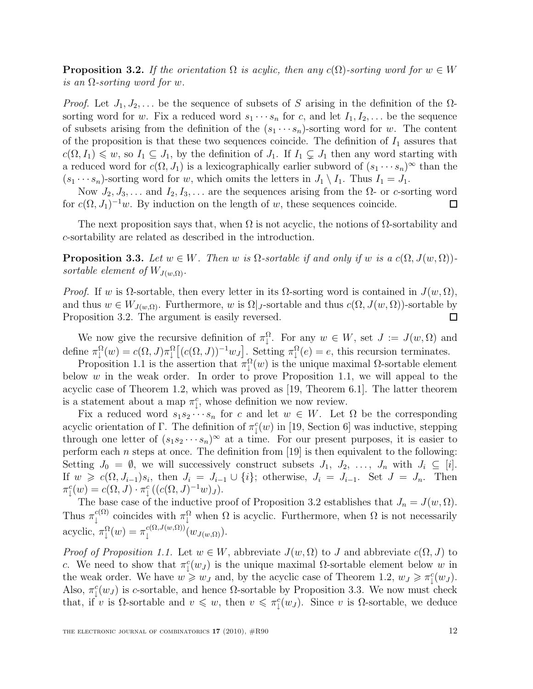**Proposition 3.2.** If the orientation  $\Omega$  is acylic, then any c( $\Omega$ )-sorting word for  $w \in W$ is an Ω-sorting word for w.

*Proof.* Let  $J_1, J_2, \ldots$  be the sequence of subsets of S arising in the definition of the  $\Omega$ sorting word for w. Fix a reduced word  $s_1 \cdots s_n$  for c, and let  $I_1, I_2, \ldots$  be the sequence of subsets arising from the definition of the  $(s_1 \cdots s_n)$ -sorting word for w. The content of the proposition is that these two sequences coincide. The definition of  $I_1$  assures that  $c(\Omega, I_1) \leq w$ , so  $I_1 \subseteq J_1$ , by the definition of  $J_1$ . If  $I_1 \subsetneq J_1$  then any word starting with a reduced word for  $c(\Omega, J_1)$  is a lexicographically earlier subword of  $(s_1 \cdots s_n)^\infty$  than the  $(s_1 \cdots s_n)$ -sorting word for w, which omits the letters in  $J_1 \setminus I_1$ . Thus  $I_1 = J_1$ .

Now  $J_2, J_3, \ldots$  and  $I_2, I_3, \ldots$  are the sequences arising from the  $\Omega$ - or c-sorting word for  $c(\Omega, J_1)^{-1}w$ . By induction on the length of w, these sequences coincide. □

The next proposition says that, when  $\Omega$  is not acyclic, the notions of  $\Omega$ -sortability and c-sortability are related as described in the introduction.

**Proposition 3.3.** Let  $w \in W$ . Then w is  $\Omega$ -sortable if and only if w is a  $c(\Omega, J(w, \Omega))$ sortable element of  $W_{J(w,\Omega)}$ .

*Proof.* If w is  $\Omega$ -sortable, then every letter in its  $\Omega$ -sorting word is contained in  $J(w, \Omega)$ , and thus  $w \in W_{J(w,\Omega)}$ . Furthermore, w is  $\Omega|_J$ -sortable and thus  $c(\Omega, J(w,\Omega))$ -sortable by Proposition 3.2. The argument is easily reversed. □

We now give the recursive definition of  $\pi_1^{\Omega}$ . For any  $w \in W$ , set  $J := J(w, \Omega)$  and define  $\pi_\downarrow^{\Omega}(w) = c(\Omega, J) \pi_\downarrow^{\Omega} \left[ (c(\Omega, J))^{-1} w_J \right]$ . Setting  $\pi_\downarrow^{\Omega}(e) = e$ , this recursion terminates.

Proposition 1.1 is the assertion that  $\pi_1^{\Omega}(w)$  is the unique maximal  $\Omega$ -sortable element below  $w$  in the weak order. In order to prove Proposition 1.1, we will appeal to the acyclic case of Theorem 1.2, which was proved as [19, Theorem 6.1]. The latter theorem is a statement about a map  $\pi_{\downarrow}^{c}$ , whose definition we now review.

Fix a reduced word  $s_1s_2\cdots s_n$  for c and let  $w \in W$ . Let  $\Omega$  be the corresponding acyclic orientation of Γ. The definition of  $\pi_{\downarrow}^{c}(w)$  in [19, Section 6] was inductive, stepping through one letter of  $(s_1s_2\cdots s_n)^\infty$  at a time. For our present purposes, it is easier to perform each *n* steps at once. The definition from [19] is then equivalent to the following: Setting  $J_0 = \emptyset$ , we will successively construct subsets  $J_1, J_2, \ldots, J_n$  with  $J_i \subseteq [i]$ . If  $w \geqslant c(\Omega, J_{i-1})s_i$ , then  $J_i = J_{i-1} \cup \{i\}$ ; otherwise,  $J_i = J_{i-1}$ . Set  $J = J_n$ . Then  $\pi_{\downarrow}^{c}(w) = c(\Omega, J) \cdot \pi_{\downarrow}^{c}((c(\Omega, J)^{-1}w)_{J}).$ 

The base case of the inductive proof of Proposition 3.2 establishes that  $J_n = J(w, \Omega)$ . Thus  $\pi_{\perp}^{c(\Omega)}$ <sup>c(1)</sup> coincides with  $\pi_\downarrow^{\Omega}$  when  $\Omega$  is acyclic. Furthermore, when  $\Omega$  is not necessarily acyclic,  $\pi_1^{\Omega}(w) = \pi_1^{c(\Omega, J(w, \Omega))}$  $\downarrow^{\mathcal{C}(\mathfrak{z}\iota,J(w,\mathfrak{z}\iota))}(w_{J(w,\Omega)}).$ 

*Proof of Proposition 1.1.* Let  $w \in W$ , abbreviate  $J(w, \Omega)$  to J and abbreviate  $c(\Omega, J)$  to c. We need to show that  $\pi_{\downarrow}^{c}(w_{J})$  is the unique maximal  $\Omega$ -sortable element below w in the weak order. We have  $w \geq w_J$  and, by the acyclic case of Theorem 1.2,  $w_J \geq \pi_\downarrow^c(w_J)$ . Also,  $\pi_{\downarrow}^{c}(w_{J})$  is c-sortable, and hence  $\Omega$ -sortable by Proposition 3.3. We now must check that, if v is  $\Omega$ -sortable and  $v \leq v$ , then  $v \leq \pi_{\perp}^{c}(w_{J})$ . Since v is  $\Omega$ -sortable, we deduce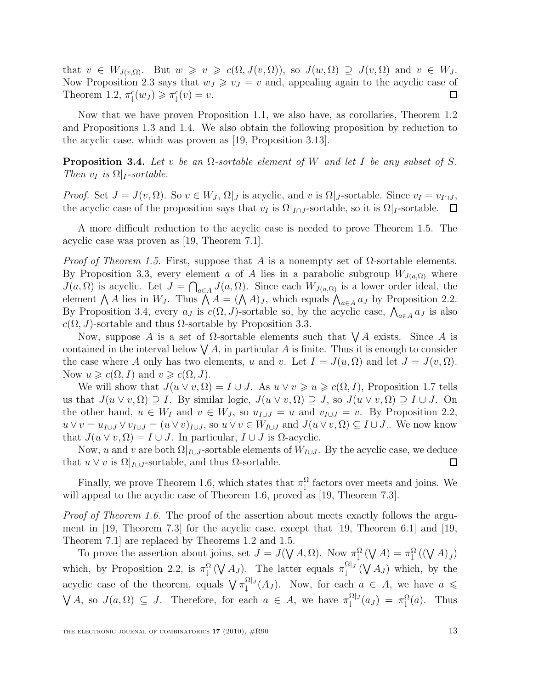that  $v \in W_{J(v,\Omega)}$ . But  $w \geq v \geq c(\Omega, J(v,\Omega))$ , so  $J(w,\Omega) \supseteq J(v,\Omega)$  and  $v \in W_J$ . Now Proposition 2.3 says that  $w_J \geq v_J = v$  and, appealing again to the acyclic case of Theorem 1.2,  $\pi_{\downarrow}^{c}(w_{J}) \geqslant \pi_{\downarrow}^{c}(v) = v.$  $\Box$ 

Now that we have proven Proposition 1.1, we also have, as corollaries, Theorem 1.2 and Propositions 1.3 and 1.4. We also obtain the following proposition by reduction to the acyclic case, which was proven as [19, Proposition 3.13].

**Proposition 3.4.** Let v be an  $\Omega$ -sortable element of W and let I be any subset of S. Then  $v_I$  is  $\Omega|_I$ -sortable.

*Proof.* Set  $J = J(v, \Omega)$ . So  $v \in W_J$ ,  $\Omega|_J$  is acyclic, and v is  $\Omega|_J$ -sortable. Since  $v_I = v_{I \cap J}$ , the acyclic case of the proposition says that  $v_I$  is  $\Omega|_{I\cap J}$ -sortable, so it is  $\Omega|_I$ -sortable.  $\Box$ 

A more difficult reduction to the acyclic case is needed to prove Theorem 1.5. The acyclic case was proven as [19, Theorem 7.1].

*Proof of Theorem 1.5.* First, suppose that A is a nonempty set of  $\Omega$ -sortable elements. By Proposition 3.3, every element a of A lies in a parabolic subgroup  $W_{J(a,\Omega)}$  where  $J(a,\Omega)$  is acyclic. Let  $J=\bigcap_{a\in A}J(a,\Omega)$ . Since each  $W_{J(a,\Omega)}$  is a lower order ideal, the element  $\bigwedge A$  lies in  $W_J$ . Thus  $\bigwedge A = (\bigwedge A)_J$ , which equals  $\bigwedge_{a \in A} a_J$  by Proposition 2.2. By Proposition 3.4, every  $a_J$  is  $c(\Omega, J)$ -sortable so, by the acyclic case,  $\bigwedge_{a \in A} a_J$  is also  $c(\Omega, J)$ -sortable and thus  $\Omega$ -sortable by Proposition 3.3.

Now, suppose A is a set of  $\Omega$ -sortable elements such that  $\bigvee A$  exists. Since A is contained in the interval below  $\bigvee A$ , in particular A is finite. Thus it is enough to consider the case where A only has two elements, u and v. Let  $I = J(u, \Omega)$  and let  $J = J(v, \Omega)$ . Now  $u \geqslant c(\Omega, I)$  and  $v \geqslant c(\Omega, J)$ .

We will show that  $J(u \vee v, \Omega) = I \cup J$ . As  $u \vee v \geq u \geq c(\Omega, I)$ , Proposition 1.7 tells us that  $J(u \vee v, \Omega) \supseteq I$ . By similar logic,  $J(u \vee v, \Omega) \supseteq J$ , so  $J(u \vee v, \Omega) \supseteq I \cup J$ . On the other hand,  $u \in W_I$  and  $v \in W_J$ , so  $u_{I \cup J} = u$  and  $v_{I \cup J} = v$ . By Proposition 2.2,  $u \vee v = u_{I \cup J} \vee v_{I \cup J} = (u \vee v)_{I \cup J}$ , so  $u \vee v \in W_{I \cup J}$  and  $J(u \vee v, \Omega) \subseteq I \cup J$ . We now know that  $J(u \vee v, \Omega) = I \cup J$ . In particular,  $I \cup J$  is  $\Omega$ -acyclic.

Now, u and v are both  $\Omega|_{I\cup J}$ -sortable elements of  $W_{I\cup J}$ . By the acyclic case, we deduce that  $u \vee v$  is  $\Omega|_{I \cup J}$ -sortable, and thus  $\Omega$ -sortable. □

Finally, we prove Theorem 1.6, which states that  $\pi_\downarrow^{\Omega}$  factors over meets and joins. We will appeal to the acyclic case of Theorem 1.6, proved as [19, Theorem 7.3].

Proof of Theorem 1.6. The proof of the assertion about meets exactly follows the argument in [19, Theorem 7.3] for the acyclic case, except that [19, Theorem 6.1] and [19, Theorem 7.1] are replaced by Theorems 1.2 and 1.5.

To prove the assertion about joins, set  $J = J(\bigvee A, \Omega)$ . Now  $\pi_1^{\Omega}(\bigvee A) = \pi_1^{\Omega}((\bigvee A)_J)$ which, by Proposition 2.2, is  $\pi_1^{\Omega}(\bigvee A_J)$ . The latter equals  $\pi_1^{\Omega}$  $\downarrow^{\Omega|J} (\bigvee A_J)$  which, by the acyclic case of the theorem, equals  $\bigvee \pi_1^{\Omega|_J}$  $\downarrow^{\Omega}$   $(A_J)$ . Now, for each  $a \in A$ , we have  $a \leq$  $\bigvee A$ , so  $J(a,\Omega) \subseteq J$ . Therefore, for each  $a \in A$ , we have  $\pi_1^{\Omega|_J}$  $\mathcal{L}^{\Omega|J}(a_J) = \pi^{\Omega}(a)$ . Thus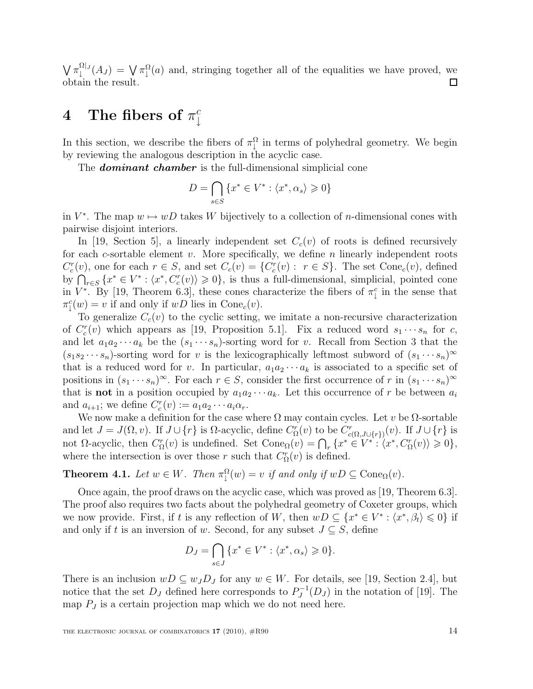$\bigvee \pi_1^{\Omega|_J}$  $\mathcal{L}^{\Omega}|_J(A_J) = \bigvee \pi^{\Omega}_\downarrow(a)$  and, stringing together all of the equalities we have proved, we obtain the result.  $\Box$ 

#### 4 The fibers of  $\pi^c_1$ ↓

In this section, we describe the fibers of  $\pi_{\downarrow}^{\Omega}$  in terms of polyhedral geometry. We begin by reviewing the analogous description in the acyclic case.

The *dominant chamber* is the full-dimensional simplicial cone

$$
D = \bigcap_{s \in S} \{ x^* \in V^* : \langle x^*, \alpha_s \rangle \geqslant 0 \}
$$

in  $V^*$ . The map  $w \mapsto wD$  takes W bijectively to a collection of *n*-dimensional cones with pairwise disjoint interiors.

In [19, Section 5], a linearly independent set  $C_c(v)$  of roots is defined recursively for each c-sortable element v. More specifically, we define n linearly independent roots  $C_c^r(v)$ , one for each  $r \in S$ , and set  $C_c(v) = \{C_c^r(v) : r \in S\}$ . The set  $Cone_c(v)$ , defined by  $\bigcap_{r\in S} \{x^* \in V^* : \langle x^*, C_c^r(v)\rangle \geq 0\}$ , is thus a full-dimensional, simplicial, pointed cone in  $V^*$ . By [19, Theorem 6.3], these cones characterize the fibers of  $\pi_\downarrow^c$  in the sense that  $\pi_{\downarrow}^{c}(w) = v$  if and only if  $wD$  lies in Cone<sub>c</sub> $(v)$ .

To generalize  $C_c(v)$  to the cyclic setting, we imitate a non-recursive characterization of  $C_c^r(v)$  which appears as [19, Proposition 5.1]. Fix a reduced word  $s_1 \cdots s_n$  for c, and let  $a_1a_2\cdots a_k$  be the  $(s_1\cdots s_n)$ -sorting word for v. Recall from Section 3 that the  $(s_1s_2\cdots s_n)$ -sorting word for v is the lexicographically leftmost subword of  $(s_1\cdots s_n)^\infty$ that is a reduced word for v. In particular,  $a_1 a_2 \cdots a_k$  is associated to a specific set of positions in  $(s_1 \cdots s_n)^\infty$ . For each  $r \in S$ , consider the first occurrence of r in  $(s_1 \cdots s_n)^\infty$ that is **not** in a position occupied by  $a_1a_2\cdots a_k$ . Let this occurrence of r be between  $a_i$ and  $a_{i+1}$ ; we define  $C_c^r(v) := a_1 a_2 \cdots a_i a_r$ .

We now make a definition for the case where  $\Omega$  may contain cycles. Let v be  $\Omega$ -sortable and let  $J = J(\Omega, v)$ . If  $J \cup \{r\}$  is  $\Omega$ -acyclic, define  $C_{\Omega}^r(v)$  to be  $C_{c(\Omega, J \cup \{r\})}^r(v)$ . If  $J \cup \{r\}$  is not  $\Omega$ -acyclic, then  $C_{\Omega}^r(v)$  is undefined. Set  $Cone_{\Omega}(v) = \bigcap_r \{x^* \in V^* : \langle x^*, C_{\Omega}^r(v) \rangle \geq 0\},$ where the intersection is over those r such that  $C_{\Omega}(v)$  is defined.

**Theorem 4.1.** Let  $w \in W$ . Then  $\pi_1^{\Omega}(w) = v$  if and only if  $wD \subseteq \text{Cone}_{\Omega}(v)$ .

Once again, the proof draws on the acyclic case, which was proved as [19, Theorem 6.3]. The proof also requires two facts about the polyhedral geometry of Coxeter groups, which we now provide. First, if t is any reflection of W, then  $wD \subseteq \{x^* \in V^* : \langle x^*, \beta_t \rangle \leq 0\}$  if and only if t is an inversion of w. Second, for any subset  $J \subseteq S$ , define

$$
D_J = \bigcap_{s \in J} \{ x^* \in V^* : \langle x^*, \alpha_s \rangle \geqslant 0 \}.
$$

There is an inclusion  $wD \subseteq w_J D_J$  for any  $w \in W$ . For details, see [19, Section 2.4], but notice that the set  $D_J$  defined here corresponds to  $P_J^{-1}$  $J_J^{-1}(D_J)$  in the notation of [19]. The map  $P_J$  is a certain projection map which we do not need here.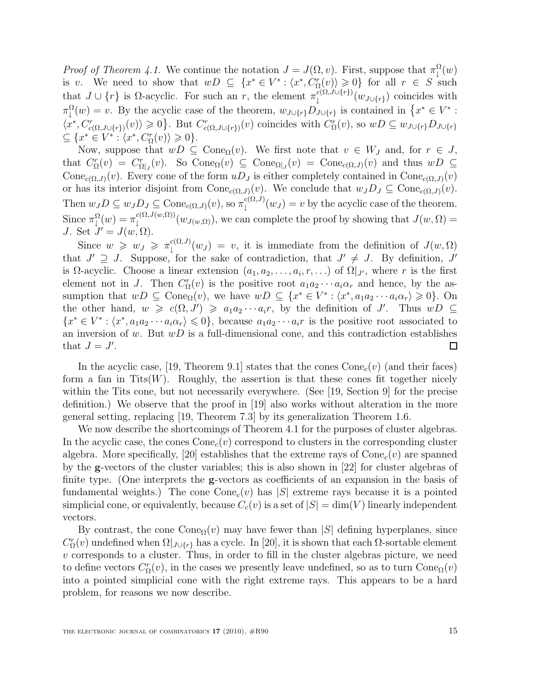*Proof of Theorem 4.1.* We continue the notation  $J = J(\Omega, v)$ . First, suppose that  $\pi_1^{\Omega}(w)$ is v. We need to show that  $wD \subseteq \{x^* \in V^* : \langle x^*, C_{\Omega}(v) \rangle \geq 0\}$  for all  $r \in S$  such that  $J \cup \{r\}$  is  $\Omega$ -acyclic. For such an r, the element  $\pi_1^{c(\Omega, J \cup \{r\})}$  $\mathbb{U}^{(x_1, y_1, y_1)}(w_{J \cup \{r\}})$  coincides with  $\pi_1^{\Omega}(w) = v$ . By the acyclic case of the theorem,  $w_{J \cup \{r\}} D_{J \cup \{r\}}$  is contained in  $\{x^* \in V^* :$  $\langle x^*, C^r_{c(\Omega, J\cup\{r\})}(v) \rangle \geq 0$ . But  $C^r_{c(\Omega, J\cup\{r\})}(v)$  coincides with  $C^r_{\Omega}(v)$ , so  $wD \subseteq w_{J\cup\{r\}}D_{J\cup\{r\}}$  $\subseteq \{x^* \in V^* : \langle x^*, C_{\Omega}^r(v) \rangle \geq 0\}.$ 

Now, suppose that  $wD \subseteq \text{Cone}_{\Omega}(v)$ . We first note that  $v \in W_J$  and, for  $r \in J$ , that  $C_{\Omega}^{r}(v) = C_{\Omega}^{r}$  $C_{\Omega|_J}(v)$ . So Cone $\Omega(v) \subseteq \text{Cone}_{\Omega|_J}(v) = \text{Cone}_{c(\Omega,J)}(v)$  and thus  $wD \subseteq$ Cone<sub>c( $\Omega$ ,J)</sub>(v). Every cone of the form  $uD_J$  is either completely contained in Cone<sub>c( $\Omega$ ,J)</sub>(v) or has its interior disjoint from  $Cone_{c(\Omega,J)}(v)$ . We conclude that  $w_JD_J \subseteq \text{Cone}_{c(\Omega,J)}(v)$ . Then  $w_J D \subseteq w_J D_J \subseteq \text{Cone}_{c(\Omega,J)}(v)$ , so  $\pi_1^{c(\Omega,J)}$  $\mathcal{L}^{(x_1, y_1)}(w_J) = v$  by the acyclic case of the theorem. Since  $\pi_1^{\Omega}(w) = \pi_1^{c(\Omega, J(w,\Omega))}$  $\downarrow^{\mathcal{C}(\Omega, J(w, \Omega))}(w_{J(w, \Omega)})$ , we can complete the proof by showing that  $J(w, \Omega)$ J. Set  $J' = J(w, \Omega)$ .

Since  $w \geqslant w_J \geqslant \pi_1^{c(\Omega, J)}$  $\psi_{\downarrow}^{c(x,y)}(w_j) = v$ , it is immediate from the definition of  $J(w, \Omega)$ that  $J' \supseteq J$ . Suppose, for the sake of contradiction, that  $J' \neq J$ . By definition, J' is  $\Omega$ -acyclic. Choose a linear extension  $(a_1, a_2, \ldots, a_i, r, \ldots)$  of  $\Omega|_{J'}$ , where r is the first element not in J. Then  $C_{\Omega}^{r}(v)$  is the positive root  $a_1 a_2 \cdots a_i a_r$  and hence, by the assumption that  $wD \subseteq \text{Cone}_{\Omega}(v)$ , we have  $wD \subseteq \{x^* \in V^* : \langle x^*, a_1 a_2 \cdots a_i a_r \rangle \geq 0\}$ . On the other hand,  $w \geqslant c(\Omega, J') \geqslant a_1 a_2 \cdots a_i r$ , by the definition of J'. Thus  $wD \subseteq$  ${x^* \in V^* : \langle x^*, a_1 a_2 \cdots a_i a_r \rangle \leq 0},$  because  $a_1 a_2 \cdots a_i r$  is the positive root associated to an inversion of w. But  $wD$  is a full-dimensional cone, and this contradiction establishes that  $J = J'$ . □

In the acyclic case, [19, Theorem 9.1] states that the cones  $Cone<sub>c</sub>(v)$  (and their faces) form a fan in Tits $(W)$ . Roughly, the assertion is that these cones fit together nicely within the Tits cone, but not necessarily everywhere. (See [19, Section 9] for the precise definition.) We observe that the proof in [19] also works without alteration in the more general setting, replacing [19, Theorem 7.3] by its generalization Theorem 1.6.

We now describe the shortcomings of Theorem 4.1 for the purposes of cluster algebras. In the acyclic case, the cones  $Cone<sub>c</sub>(v)$  correspond to clusters in the corresponding cluster algebra. More specifically, [20] establishes that the extreme rays of  $Cone<sub>c</sub>(v)$  are spanned by the g-vectors of the cluster variables; this is also shown in [22] for cluster algebras of finite type. (One interprets the g-vectors as coefficients of an expansion in the basis of fundamental weights.) The cone  $Cone<sub>c</sub>(v)$  has |S| extreme rays because it is a pointed simplicial cone, or equivalently, because  $C_c(v)$  is a set of  $|S| = \dim(V)$  linearly independent vectors.

By contrast, the cone  $\text{Cone}_{\Omega}(v)$  may have fewer than  $|S|$  defining hyperplanes, since  $C_{\Omega}^r(v)$  undefined when  $\Omega|_{J\cup\{r\}}$  has a cycle. In [20], it is shown that each  $\Omega$ -sortable element  $v$  corresponds to a cluster. Thus, in order to fill in the cluster algebras picture, we need to define vectors  $C_{\Omega}^r(v)$ , in the cases we presently leave undefined, so as to turn  $Cone_{\Omega}(v)$ into a pointed simplicial cone with the right extreme rays. This appears to be a hard problem, for reasons we now describe.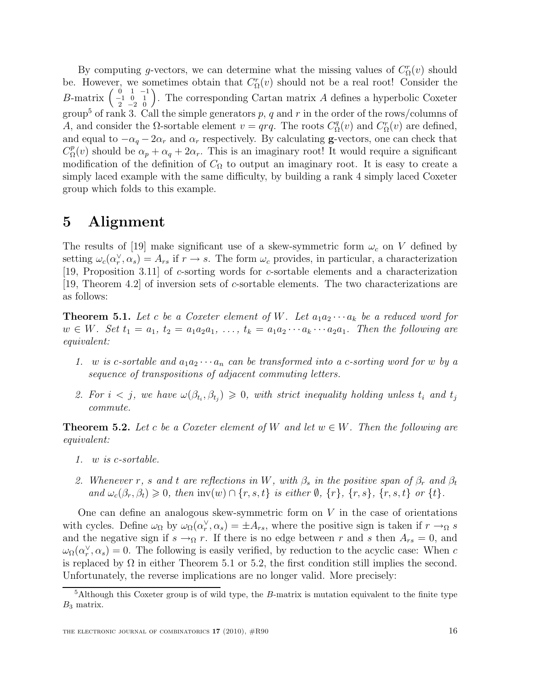By computing g-vectors, we can determine what the missing values of  $C_{\Omega}(v)$  should be. However, we sometimes obtain that  $C_{\Omega}(v)$  should not be a real root! Consider the B-matrix  $\begin{pmatrix} 0 & 1 & -1 \\ -1 & 0 & 1 \\ 2 & -2 & 0 \end{pmatrix}$ . The corresponding Cartan matrix A defines a hyperbolic Coxeter group<sup>5</sup> of rank 3. Call the simple generators p, q and r in the order of the rows/columns of A, and consider the  $\Omega$ -sortable element  $v = qrq$ . The roots  $C_{\Omega}^q$  $C_{\Omega}^{q}(v)$  and  $C_{\Omega}^{r}(v)$  are defined, and equal to  $-\alpha_q - 2\alpha_r$  and  $\alpha_r$  respectively. By calculating g-vectors, one can check that  $C^p_{\Omega}$  $\Omega_{\Omega}(v)$  should be  $\alpha_p + \alpha_q + 2\alpha_r$ . This is an imaginary root! It would require a significant modification of the definition of  $C_{\Omega}$  to output an imaginary root. It is easy to create a simply laced example with the same difficulty, by building a rank 4 simply laced Coxeter group which folds to this example.

### 5 Alignment

The results of [19] make significant use of a skew-symmetric form  $\omega_c$  on V defined by setting  $\omega_c(\alpha_r^{\vee}, \alpha_s) = A_{rs}$  if  $r \to s$ . The form  $\omega_c$  provides, in particular, a characterization [19, Proposition 3.11] of c-sorting words for c-sortable elements and a characterization [19, Theorem 4.2] of inversion sets of c-sortable elements. The two characterizations are as follows:

**Theorem 5.1.** Let c be a Coxeter element of W. Let  $a_1a_2\cdots a_k$  be a reduced word for  $w \in W$ . Set  $t_1 = a_1$ ,  $t_2 = a_1 a_2 a_1$ ,  $\ldots$ ,  $t_k = a_1 a_2 \cdots a_k \cdots a_2 a_1$ . Then the following are equivalent:

- 1. w is c-sortable and  $a_1a_2\cdots a_n$  can be transformed into a c-sorting word for w by a sequence of transpositions of adjacent commuting letters.
- 2. For  $i < j$ , we have  $\omega(\beta_{t_i}, \beta_{t_j}) \geq 0$ , with strict inequality holding unless  $t_i$  and  $t_j$ commute.

**Theorem 5.2.** Let c be a Coxeter element of W and let  $w \in W$ . Then the following are equivalent:

- 1. w is c-sortable.
- 2. Whenever r, s and t are reflections in W, with  $\beta_s$  in the positive span of  $\beta_r$  and  $\beta_t$ and  $\omega_c(\beta_r, \beta_t) \geq 0$ , then  $\text{inv}(w) \cap \{r, s, t\}$  is either  $\emptyset$ ,  $\{r\}$ ,  $\{r, s\}$ ,  $\{r, s, t\}$  or  $\{t\}$ .

One can define an analogous skew-symmetric form on  $V$  in the case of orientations with cycles. Define  $\omega_{\Omega}$  by  $\omega_{\Omega}(\alpha_r^{\vee}, \alpha_s) = \pm A_{rs}$ , where the positive sign is taken if  $r \to_{\Omega} s$ and the negative sign if  $s \to_{\Omega} r$ . If there is no edge between r and s then  $A_{rs} = 0$ , and  $\omega_{\Omega}(\alpha_r^{\vee}, \alpha_s) = 0$ . The following is easily verified, by reduction to the acyclic case: When c is replaced by  $\Omega$  in either Theorem 5.1 or 5.2, the first condition still implies the second. Unfortunately, the reverse implications are no longer valid. More precisely:

<sup>&</sup>lt;sup>5</sup>Although this Coxeter group is of wild type, the B-matrix is mutation equivalent to the finite type  $B_3$  matrix.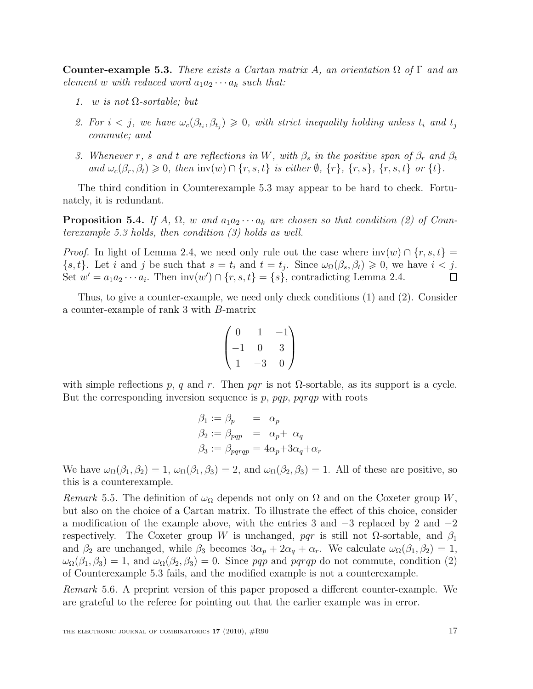**Counter-example 5.3.** There exists a Cartan matrix A, an orientation  $\Omega$  of  $\Gamma$  and an element w with reduced word  $a_1a_2\cdots a_k$  such that:

- 1. w is not  $\Omega$ -sortable; but
- 2. For  $i < j$ , we have  $\omega_c(\beta_{t_i}, \beta_{t_j}) \geq 0$ , with strict inequality holding unless  $t_i$  and  $t_j$ commute; and
- 3. Whenever r, s and t are reflections in W, with  $\beta_s$  in the positive span of  $\beta_r$  and  $\beta_t$ and  $\omega_c(\beta_r, \beta_t) \geq 0$ , then  $\text{inv}(w) \cap \{r, s, t\}$  is either  $\emptyset$ ,  $\{r\}$ ,  $\{r, s\}$ ,  $\{r, s, t\}$  or  $\{t\}$ .

The third condition in Counterexample 5.3 may appear to be hard to check. Fortunately, it is redundant.

**Proposition 5.4.** If A,  $\Omega$ , w and  $a_1a_2\cdots a_k$  are chosen so that condition (2) of Counterexample 5.3 holds, then condition (3) holds as well.

*Proof.* In light of Lemma 2.4, we need only rule out the case where  $inv(w) \cap \{r, s, t\}$  $\{s,t\}$ . Let i and j be such that  $s = t_i$  and  $t = t_j$ . Since  $\omega_{\Omega}(\beta_s, \beta_t) \geq 0$ , we have  $i < j$ . Set  $w' = a_1 a_2 \cdots a_i$ . Then  $\text{inv}(w') \cap \{r, s, t\} = \{s\}$ , contradicting Lemma 2.4. □

Thus, to give a counter-example, we need only check conditions (1) and (2). Consider a counter-example of rank 3 with B-matrix

$$
\begin{pmatrix} 0 & 1 & -1 \ -1 & 0 & 3 \ 1 & -3 & 0 \end{pmatrix}
$$

with simple reflections p, q and r. Then pqr is not  $\Omega$ -sortable, as its support is a cycle. But the corresponding inversion sequence is  $p$ ,  $pqp$ ,  $pqrqp$  with roots

$$
\beta_1 := \beta_p = \alpha_p
$$
  
\n
$$
\beta_2 := \beta_{pqp} = \alpha_p + \alpha_q
$$
  
\n
$$
\beta_3 := \beta_{pqrqp} = 4\alpha_p + 3\alpha_q + \alpha_r
$$

We have  $\omega_{\Omega}(\beta_1, \beta_2) = 1$ ,  $\omega_{\Omega}(\beta_1, \beta_3) = 2$ , and  $\omega_{\Omega}(\beta_2, \beta_3) = 1$ . All of these are positive, so this is a counterexample.

Remark 5.5. The definition of  $\omega_{\Omega}$  depends not only on  $\Omega$  and on the Coxeter group W, but also on the choice of a Cartan matrix. To illustrate the effect of this choice, consider a modification of the example above, with the entries 3 and −3 replaced by 2 and −2 respectively. The Coxeter group W is unchanged, pqr is still not  $\Omega$ -sortable, and  $\beta_1$ and  $\beta_2$  are unchanged, while  $\beta_3$  becomes  $3\alpha_p + 2\alpha_q + \alpha_r$ . We calculate  $\omega_{\Omega}(\beta_1, \beta_2) = 1$ ,  $\omega_{\Omega}(\beta_1, \beta_3) = 1$ , and  $\omega_{\Omega}(\beta_2, \beta_3) = 0$ . Since pqp and pqrqp do not commute, condition (2) of Counterexample 5.3 fails, and the modified example is not a counterexample.

Remark 5.6. A preprint version of this paper proposed a different counter-example. We are grateful to the referee for pointing out that the earlier example was in error.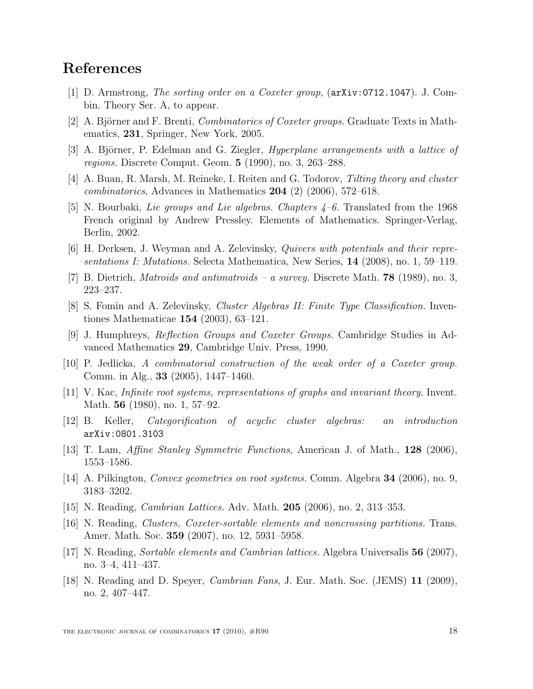# References

- [1] D. Armstrong, The sorting order on a Coxeter group, (arXiv:0712.1047). J. Combin. Theory Ser. A, to appear.
- [2] A. Björner and F. Brenti, *Combinatorics of Coxeter groups*. Graduate Texts in Mathematics, 231, Springer, New York, 2005.
- [3] A. Björner, P. Edelman and G. Ziegler, *Hyperplane arrangements with a lattice of* regions. Discrete Comput. Geom. 5 (1990), no. 3, 263–288.
- [4] A. Buan, R. Marsh, M. Reineke, I. Reiten and G. Todorov, Tilting theory and cluster  $combinatorics$ , Advances in Mathematics  $204$  (2) (2006), 572–618.
- [5] N. Bourbaki, Lie groups and Lie algebras. Chapters 4–6. Translated from the 1968 French original by Andrew Pressley. Elements of Mathematics. Springer-Verlag, Berlin, 2002.
- [6] H. Derksen, J. Weyman and A. Zelevinsky, Quivers with potentials and their representations I: Mutations. Selecta Mathematica, New Series, 14 (2008), no. 1, 59–119.
- [7] B. Dietrich, *Matroids and antimatroids a survey*. Discrete Math. **78** (1989), no. 3, 223–237.
- [8] S. Fomin and A. Zelevinsky, Cluster Algebras II: Finite Type Classification. Inventiones Mathematicae 154 (2003), 63–121.
- [9] J. Humphreys, Reflection Groups and Coxeter Groups. Cambridge Studies in Advanced Mathematics 29, Cambridge Univ. Press, 1990.
- [10] P. Jedlicka, A combinatorial construction of the weak order of a Coxeter group. Comm. in Alg., 33 (2005), 1447–1460.
- [11] V. Kac, *Infinite root systems, representations of graphs and invariant theory*. Invent. Math. 56 (1980), no. 1, 57–92.
- [12] B. Keller, Categorification of acyclic cluster algebras: an introduction arXiv:0801.3103
- [13] T. Lam, Affine Stanley Symmetric Functions, American J. of Math., 128 (2006), 1553–1586.
- [14] A. Pilkington, Convex geometries on root systems. Comm. Algebra 34 (2006), no. 9, 3183–3202.
- [15] N. Reading, Cambrian Lattices. Adv. Math. 205 (2006), no. 2, 313–353.
- [16] N. Reading, Clusters, Coxeter-sortable elements and noncrossing partitions. Trans. Amer. Math. Soc. 359 (2007), no. 12, 5931–5958.
- [17] N. Reading, Sortable elements and Cambrian lattices. Algebra Universalis 56 (2007), no. 3–4, 411–437.
- [18] N. Reading and D. Speyer, *Cambrian Fans*, J. Eur. Math. Soc. (JEMS) 11 (2009), no. 2, 407–447.